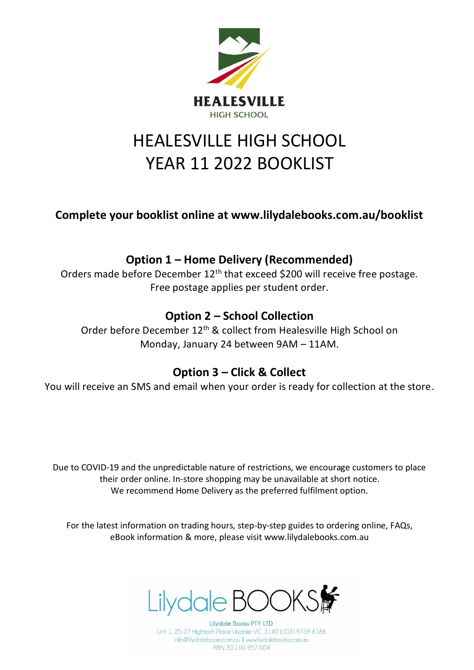

# HEALESVILLE HIGH SCHOOL YEAR 11 2022 BOOKLIST

**Complete your booklist online at www.lilydalebooks.com.au/booklist** 

## **Option 1 – Home Delivery (Recommended)**

Orders made before December 12<sup>th</sup> that exceed \$200 will receive free postage. Free postage applies per student order.

## **Option 2 – School Collection**

Order before December 12<sup>th</sup> & collect from Healesville High School on Monday, January 24 between 9AM – 11AM.

#### **Option 3 – Click & Collect**

You will receive an SMS and email when your order is ready for collection at the store.

Due to COVID-19 and the unpredictable nature of restrictions, we encourage customers to place their order online. In-store shopping may be unavailable at short notice. We recommend Home Delivery as the preferred fulfilment option.

For the latest information on trading hours, step-by-step guides to ordering online, FAQs, eBook information & more, please visit www.lilydalebooks.com.au



**Lilydale Books PTY LTD** Unit 1, 25-27 Hightech Place Lilydale VIC 3140 | (03) 9739 6186 info@lilydalebooks.com.au | www.lilydalebooks.com.au ABN 30 160 957 004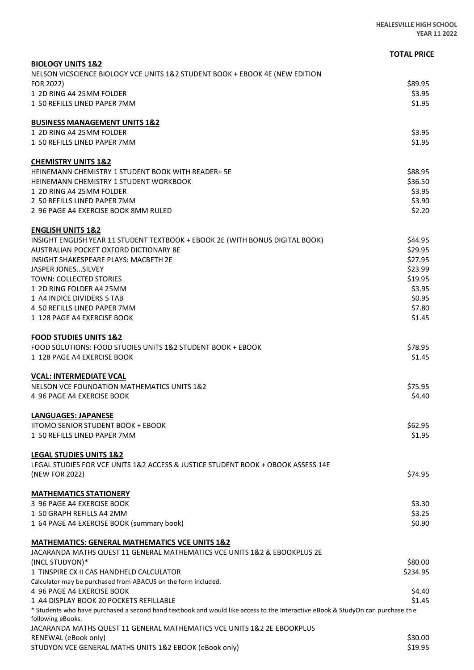|                                                                                                                                                     | <b>TOTAL PRICE</b> |
|-----------------------------------------------------------------------------------------------------------------------------------------------------|--------------------|
| <b>BIOLOGY UNITS 1&amp;2</b>                                                                                                                        |                    |
| NELSON VICSCIENCE BIOLOGY VCE UNITS 1&2 STUDENT BOOK + EBOOK 4E (NEW EDITION                                                                        |                    |
| FOR 2022)                                                                                                                                           | \$89.95            |
| 1 2D RING A4 25MM FOLDER                                                                                                                            | \$3.95             |
| 1 50 REFILLS LINED PAPER 7MM                                                                                                                        | \$1.95             |
| <b>BUSINESS MANAGEMENT UNITS 1&amp;2</b>                                                                                                            |                    |
| 1 2D RING A4 25MM FOLDER                                                                                                                            | \$3.95             |
| 1 50 REFILLS LINED PAPER 7MM                                                                                                                        | \$1.95             |
| <b>CHEMISTRY UNITS 1&amp;2</b>                                                                                                                      |                    |
| <b>HEINEMANN CHEMISTRY 1 STUDENT BOOK WITH READER+ 5E</b>                                                                                           | \$88.95            |
| <b>HEINEMANN CHEMISTRY 1 STUDENT WORKBOOK</b>                                                                                                       | \$36.50            |
| 1 2D RING A4 25MM FOLDER                                                                                                                            | \$3.95             |
| 2 50 REFILLS LINED PAPER 7MM                                                                                                                        | \$3.90             |
| 2 96 PAGE A4 EXERCISE BOOK 8MM RULED                                                                                                                | \$2.20             |
| <b>ENGLISH UNITS 1&amp;2</b>                                                                                                                        |                    |
| INSIGHT ENGLISH YEAR 11 STUDENT TEXTBOOK + EBOOK 2E (WITH BONUS DIGITAL BOOK)                                                                       | \$44.95            |
| AUSTRALIAN POCKET OXFORD DICTIONARY 8E                                                                                                              | \$29.95            |
| <b>INSIGHT SHAKESPEARE PLAYS: MACBETH 2E</b>                                                                                                        | \$27.95            |
| JASPER JONESSILVEY                                                                                                                                  | \$23.99            |
| TOWN: COLLECTED STORIES                                                                                                                             | \$19.95            |
| 1 2D RING FOLDER A4 25MM                                                                                                                            | \$3.95             |
| 1 A4 INDICE DIVIDERS 5 TAB                                                                                                                          | \$0.95             |
| 4 50 REFILLS LINED PAPER 7MM                                                                                                                        | \$7.80             |
| 1 128 PAGE A4 EXERCISE BOOK                                                                                                                         | \$1.45             |
| <b>FOOD STUDIES UNITS 1&amp;2</b>                                                                                                                   |                    |
| FOOD SOLUTIONS: FOOD STUDIES UNITS 1&2 STUDENT BOOK + EBOOK                                                                                         | \$78.95            |
| 1 128 PAGE A4 EXERCISE BOOK                                                                                                                         | \$1.45             |
| <b>VCAL: INTERMEDIATE VCAL</b>                                                                                                                      |                    |
| NELSON VCE FOUNDATION MATHEMATICS UNITS 1&2                                                                                                         | \$75.95            |
| 4 96 PAGE A4 EXERCISE BOOK                                                                                                                          | \$4.40             |
| LANGUAGES: JAPANESE                                                                                                                                 |                    |
| <b>IITOMO SENIOR STUDENT BOOK + EBOOK</b>                                                                                                           | \$62.95            |
| 1 50 REFILLS LINED PAPER 7MM                                                                                                                        | \$1.95             |
| <b>LEGAL STUDIES UNITS 1&amp;2</b>                                                                                                                  |                    |
| LEGAL STUDIES FOR VCE UNITS 1&2 ACCESS & JUSTICE STUDENT BOOK + OBOOK ASSESS 14E                                                                    |                    |
| (NEW FOR 2022)                                                                                                                                      | \$74.95            |
|                                                                                                                                                     |                    |
| <b>MATHEMATICS STATIONERY</b><br>3 96 PAGE A4 EXERCISE BOOK                                                                                         |                    |
| 1 50 GRAPH REFILLS A4 2MM                                                                                                                           | \$3.30<br>\$3.25   |
| 1 64 PAGE A4 EXERCISE BOOK (summary book)                                                                                                           | \$0.90             |
|                                                                                                                                                     |                    |
| <b>MATHEMATICS: GENERAL MATHEMATICS VCE UNITS 1&amp;2</b><br>JACARANDA MATHS QUEST 11 GENERAL MATHEMATICS VCE UNITS 1&2 & EBOOKPLUS 2E              |                    |
| (INCL STUDYON)*                                                                                                                                     | \$80.00            |
| 1 TINSPIRE CX II CAS HANDHELD CALCULATOR                                                                                                            | \$234.95           |
| Calculator may be purchased from ABACUS on the form included.                                                                                       |                    |
| 4 96 PAGE A4 EXERCISE BOOK                                                                                                                          | \$4.40             |
| 1 A4 DISPLAY BOOK 20 POCKETS REFILLABLE                                                                                                             | \$1.45             |
| * Students who have purchased a second hand textbook and would like access to the Interactive eBook & StudyOn can purchase the<br>following eBooks. |                    |
| JACARANDA MATHS QUEST 11 GENERAL MATHEMATICS VCE UNITS 1&2 2E EBOOKPLUS                                                                             |                    |
| RENEWAL (eBook only)                                                                                                                                | \$30.00            |
| STUDYON VCE GENERAL MATHS UNITS 1&2 EBOOK (eBook only)                                                                                              | \$19.95            |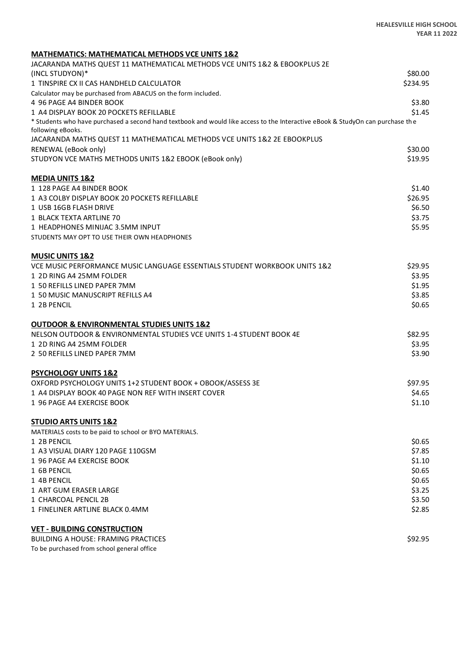| <b>MATHEMATICS: MATHEMATICAL METHODS VCE UNITS 1&amp;2</b>                                                                     |                  |
|--------------------------------------------------------------------------------------------------------------------------------|------------------|
| JACARANDA MATHS QUEST 11 MATHEMATICAL METHODS VCE UNITS 1&2 & EBOOKPLUS 2E                                                     |                  |
| (INCL STUDYON)*                                                                                                                | \$80.00          |
| 1 TINSPIRE CX II CAS HANDHELD CALCULATOR                                                                                       | \$234.95         |
| Calculator may be purchased from ABACUS on the form included.                                                                  |                  |
| 4 96 PAGE A4 BINDER BOOK                                                                                                       | \$3.80           |
| 1 A4 DISPLAY BOOK 20 POCKETS REFILLABLE                                                                                        | \$1.45           |
| * Students who have purchased a second hand textbook and would like access to the Interactive eBook & StudyOn can purchase the |                  |
| following eBooks.<br>JACARANDA MATHS QUEST 11 MATHEMATICAL METHODS VCE UNITS 1&2 2E EBOOKPLUS                                  |                  |
| RENEWAL (eBook only)                                                                                                           | \$30.00          |
| STUDYON VCE MATHS METHODS UNITS 1&2 EBOOK (eBook only)                                                                         | \$19.95          |
| <b>MEDIA UNITS 1&amp;2</b>                                                                                                     |                  |
| 1 128 PAGE A4 BINDER BOOK                                                                                                      | \$1.40           |
| 1 A3 COLBY DISPLAY BOOK 20 POCKETS REFILLABLE                                                                                  | \$26.95          |
| 1 USB 16GB FLASH DRIVE                                                                                                         | \$6.50           |
| 1 BLACK TEXTA ARTLINE 70                                                                                                       | \$3.75           |
| 1 HEADPHONES MINIJAC 3.5MM INPUT                                                                                               | \$5.95           |
| STUDENTS MAY OPT TO USE THEIR OWN HEADPHONES                                                                                   |                  |
| <b>MUSIC UNITS 1&amp;2</b>                                                                                                     |                  |
| VCE MUSIC PERFORMANCE MUSIC LANGUAGE ESSENTIALS STUDENT WORKBOOK UNITS 1&2                                                     | \$29.95          |
| 1 2D RING A4 25MM FOLDER                                                                                                       | \$3.95           |
| 1 50 REFILLS LINED PAPER 7MM                                                                                                   | \$1.95           |
| 1 50 MUSIC MANUSCRIPT REFILLS A4                                                                                               | \$3.85           |
| 1 2B PENCIL                                                                                                                    | \$0.65           |
| <b>OUTDOOR &amp; ENVIRONMENTAL STUDIES UNITS 1&amp;2</b>                                                                       |                  |
| NELSON OUTDOOR & ENVIRONMENTAL STUDIES VCE UNITS 1-4 STUDENT BOOK 4E                                                           | \$82.95          |
| 1 2D RING A4 25MM FOLDER                                                                                                       | \$3.95           |
| 2 50 REFILLS LINED PAPER 7MM                                                                                                   | \$3.90           |
| <b>PSYCHOLOGY UNITS 1&amp;2</b>                                                                                                |                  |
| OXFORD PSYCHOLOGY UNITS 1+2 STUDENT BOOK + OBOOK/ASSESS 3E                                                                     | \$97.95          |
| 1 A4 DISPLAY BOOK 40 PAGE NON REF WITH INSERT COVER                                                                            | \$4.65           |
| 1 96 PAGE A4 EXERCISE BOOK                                                                                                     | \$1.10           |
| <b>STUDIO ARTS UNITS 1&amp;2</b>                                                                                               |                  |
| MATERIALS costs to be paid to school or BYO MATERIALS.                                                                         |                  |
| 1 2B PENCIL                                                                                                                    | \$0.65           |
| 1 A3 VISUAL DIARY 120 PAGE 110GSM                                                                                              | \$7.85           |
| 1 96 PAGE A4 EXERCISE BOOK                                                                                                     | \$1.10           |
| 1 6B PENCIL<br>1 4B PENCIL                                                                                                     | \$0.65           |
| 1 ART GUM ERASER LARGE                                                                                                         | \$0.65<br>\$3.25 |
| 1 CHARCOAL PENCIL 2B                                                                                                           | \$3.50           |
| 1 FINELINER ARTLINE BLACK 0.4MM                                                                                                | \$2.85           |
| <b>VET - BUILDING CONSTRUCTION</b>                                                                                             |                  |
| <b>BUILDING A HOUSE: FRAMING PRACTICES</b>                                                                                     | \$92.95          |
| To be purchased from school general office                                                                                     |                  |